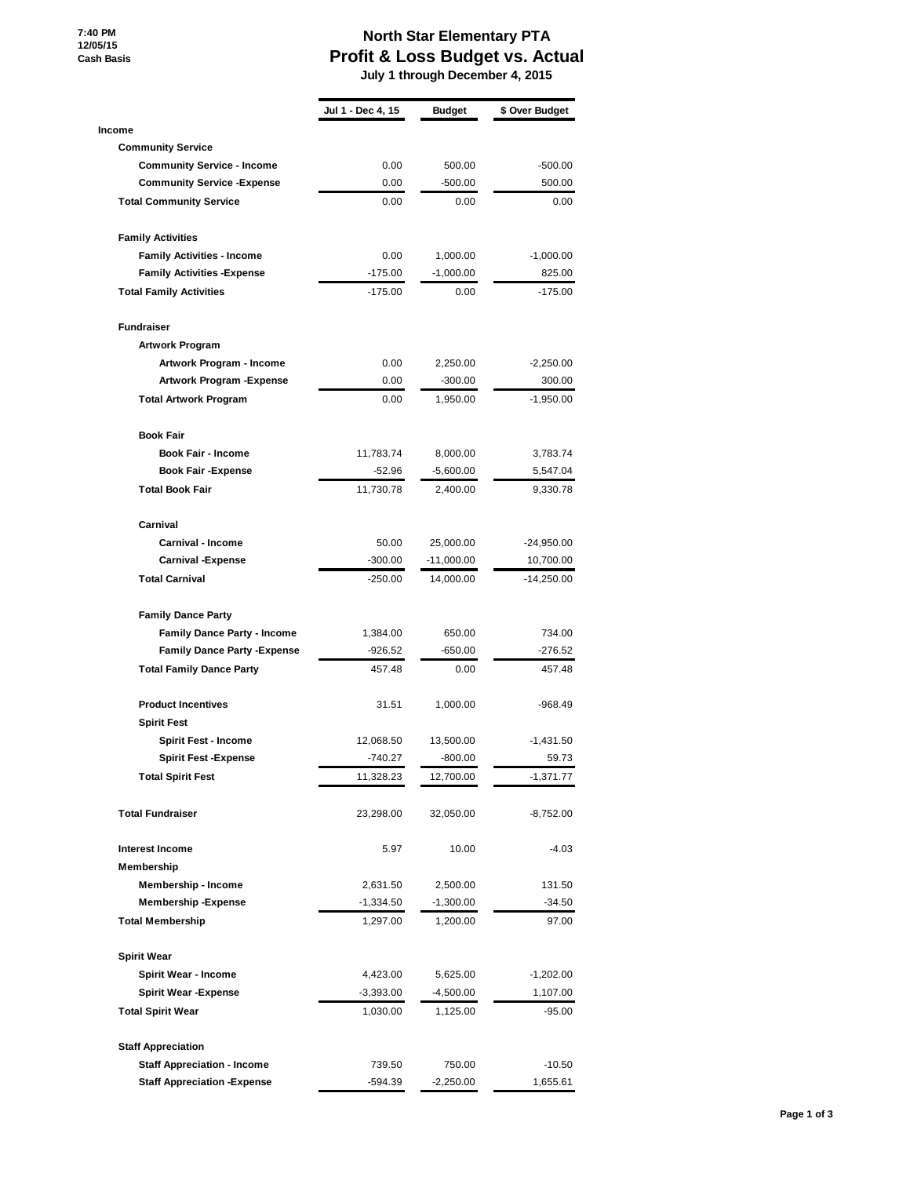**7:40 PM 12/05/15 Cash Basis**

## **North Star Elementary PTA Profit & Loss Budget vs. Actual**

 **July 1 through December 4, 2015**

|                                     | Jul 1 - Dec 4, 15 | <b>Budget</b> | \$ Over Budget |
|-------------------------------------|-------------------|---------------|----------------|
| Income                              |                   |               |                |
| <b>Community Service</b>            |                   |               |                |
| <b>Community Service - Income</b>   | 0.00              | 500.00        | $-500.00$      |
| <b>Community Service - Expense</b>  | 0.00              | $-500.00$     | 500.00         |
| <b>Total Community Service</b>      | 0.00              | 0.00          | 0.00           |
| <b>Family Activities</b>            |                   |               |                |
| <b>Family Activities - Income</b>   | 0.00              | 1,000.00      | $-1,000.00$    |
| <b>Family Activities -Expense</b>   | $-175.00$         | $-1,000.00$   | 825.00         |
| <b>Total Family Activities</b>      | $-175.00$         | 0.00          | $-175.00$      |
| <b>Fundraiser</b>                   |                   |               |                |
| <b>Artwork Program</b>              |                   |               |                |
| Artwork Program - Income            | 0.00              | 2,250.00      | $-2,250.00$    |
| Artwork Program - Expense           | 0.00              | $-300.00$     | 300.00         |
| <b>Total Artwork Program</b>        | 0.00              | 1,950.00      | $-1,950.00$    |
| <b>Book Fair</b>                    |                   |               |                |
| <b>Book Fair - Income</b>           | 11,783.74         | 8,000.00      | 3,783.74       |
| <b>Book Fair -Expense</b>           | $-52.96$          | $-5,600.00$   | 5,547.04       |
| <b>Total Book Fair</b>              | 11,730.78         | 2,400.00      | 9,330.78       |
| Carnival                            |                   |               |                |
| Carnival - Income                   | 50.00             | 25,000.00     | -24,950.00     |
| <b>Carnival -Expense</b>            | $-300.00$         | $-11,000.00$  | 10,700.00      |
| <b>Total Carnival</b>               | $-250.00$         | 14,000.00     | $-14,250.00$   |
| <b>Family Dance Party</b>           |                   |               |                |
| <b>Family Dance Party - Income</b>  | 1,384.00          | 650.00        | 734.00         |
| <b>Family Dance Party - Expense</b> | -926.52           | $-650.00$     | -276.52        |
| <b>Total Family Dance Party</b>     | 457.48            | 0.00          | 457.48         |
| <b>Product Incentives</b>           | 31.51             | 1,000.00      | $-968.49$      |
| <b>Spirit Fest</b>                  |                   |               |                |
| <b>Spirit Fest - Income</b>         | 12,068.50         | 13,500.00     | -1,431.50      |
| <b>Spirit Fest -Expense</b>         | $-740.27$         | $-800.00$     | 59.73          |
| <b>Total Spirit Fest</b>            | 11,328.23         | 12,700.00     | -1,371.77      |
| <b>Total Fundraiser</b>             | 23,298.00         | 32,050.00     | $-8,752.00$    |
| <b>Interest Income</b>              | 5.97              | 10.00         | $-4.03$        |
| Membership                          |                   |               |                |
| <b>Membership - Income</b>          | 2,631.50          | 2,500.00      | 131.50         |
| <b>Membership -Expense</b>          | $-1,334.50$       | $-1,300.00$   | $-34.50$       |
| <b>Total Membership</b>             | 1,297.00          | 1,200.00      | 97.00          |
| <b>Spirit Wear</b>                  |                   |               |                |
| <b>Spirit Wear - Income</b>         | 4,423.00          | 5,625.00      | $-1,202.00$    |
| <b>Spirit Wear -Expense</b>         | $-3,393.00$       | -4,500.00     | 1,107.00       |
| <b>Total Spirit Wear</b>            | 1,030.00          | 1,125.00      | $-95.00$       |
| <b>Staff Appreciation</b>           |                   |               |                |
| <b>Staff Appreciation - Income</b>  | 739.50            | 750.00        | $-10.50$       |
| <b>Staff Appreciation - Expense</b> | -594.39           | $-2,250.00$   | 1,655.61       |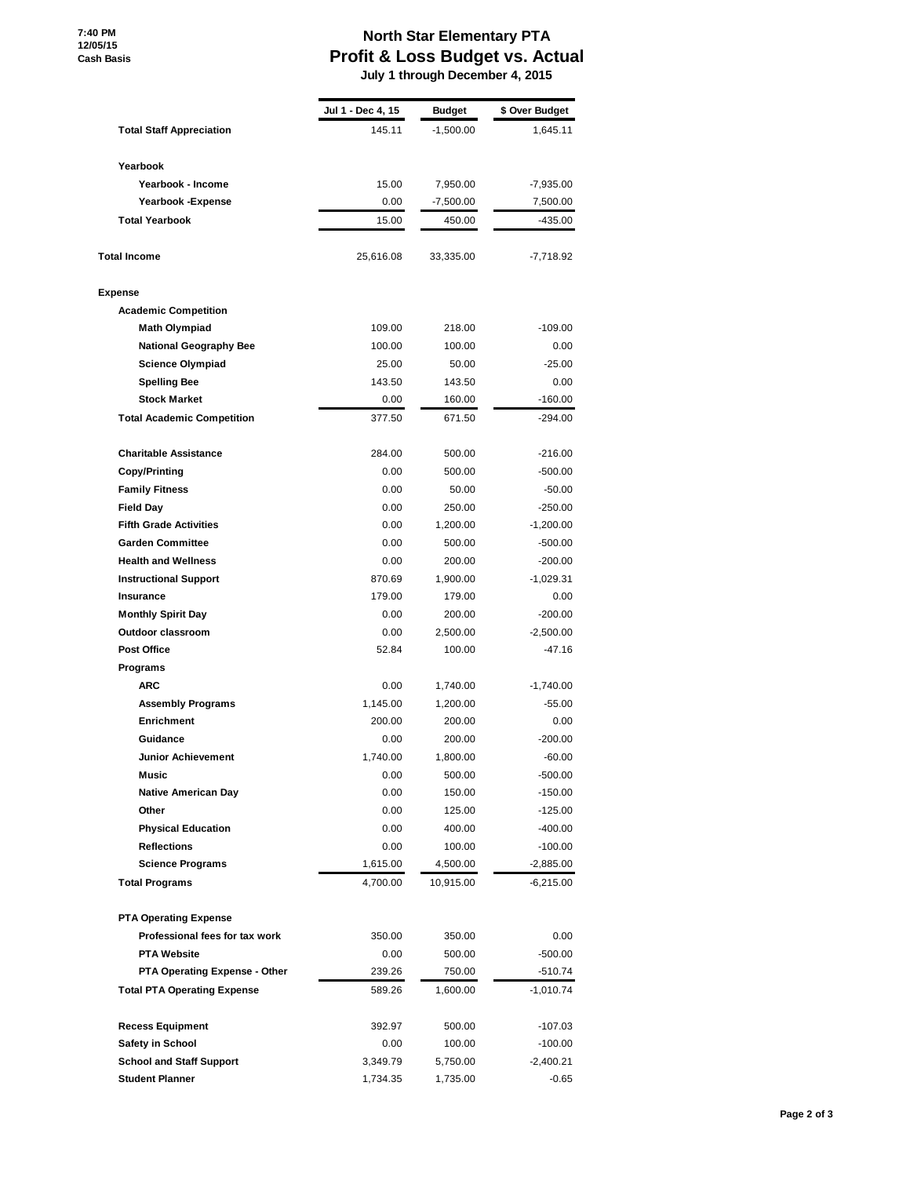**7:40 PM 12/05/15 Cash Basis**

## **North Star Elementary PTA Profit & Loss Budget vs. Actual**

 **July 1 through December 4, 2015**

|                                    | Jul 1 - Dec 4, 15 | <b>Budget</b> | \$ Over Budget |
|------------------------------------|-------------------|---------------|----------------|
| <b>Total Staff Appreciation</b>    | 145.11            | $-1,500.00$   | 1,645.11       |
| Yearbook                           |                   |               |                |
| Yearbook - Income                  | 15.00             | 7,950.00      | $-7,935.00$    |
| Yearbook - Expense                 | 0.00              | $-7,500.00$   | 7,500.00       |
| <b>Total Yearbook</b>              | 15.00             | 450.00        | $-435.00$      |
| <b>Total Income</b>                | 25,616.08         | 33,335.00     | -7,718.92      |
| Expense                            |                   |               |                |
| <b>Academic Competition</b>        |                   |               |                |
| <b>Math Olympiad</b>               | 109.00            | 218.00        | $-109.00$      |
| <b>National Geography Bee</b>      | 100.00            | 100.00        | 0.00           |
| <b>Science Olympiad</b>            | 25.00             | 50.00         | $-25.00$       |
| <b>Spelling Bee</b>                | 143.50            | 143.50        | 0.00           |
| <b>Stock Market</b>                | 0.00              | 160.00        | $-160.00$      |
| <b>Total Academic Competition</b>  | 377.50            | 671.50        | $-294.00$      |
| <b>Charitable Assistance</b>       | 284.00            | 500.00        | $-216.00$      |
| Copy/Printing                      | 0.00              | 500.00        | $-500.00$      |
| <b>Family Fitness</b>              | 0.00              | 50.00         | $-50.00$       |
| <b>Field Day</b>                   | 0.00              | 250.00        | $-250.00$      |
| <b>Fifth Grade Activities</b>      | 0.00              | 1,200.00      | $-1,200.00$    |
| <b>Garden Committee</b>            | 0.00              | 500.00        | $-500.00$      |
| <b>Health and Wellness</b>         | 0.00              | 200.00        | $-200.00$      |
| <b>Instructional Support</b>       | 870.69            | 1,900.00      | $-1,029.31$    |
| Insurance                          | 179.00            | 179.00        | 0.00           |
| <b>Monthly Spirit Day</b>          | 0.00              | 200.00        | $-200.00$      |
| Outdoor classroom                  | 0.00              | 2,500.00      | $-2,500.00$    |
| <b>Post Office</b>                 | 52.84             | 100.00        | $-47.16$       |
| Programs                           |                   |               |                |
| <b>ARC</b>                         | 0.00              | 1,740.00      | $-1,740.00$    |
| <b>Assembly Programs</b>           | 1,145.00          | 1,200.00      | $-55.00$       |
| <b>Enrichment</b>                  | 200.00            | 200.00        | 0.00           |
| Guidance                           | 0.00              | 200.00        | $-200.00$      |
| <b>Junior Achievement</b>          | 1,740.00          | 1,800.00      | $-60.00$       |
| <b>Music</b>                       | 0.00              | 500.00        | $-500.00$      |
| <b>Native American Day</b>         | 0.00              | 150.00        | $-150.00$      |
| Other                              | 0.00              | 125.00        | $-125.00$      |
| <b>Physical Education</b>          | 0.00              | 400.00        | $-400.00$      |
| <b>Reflections</b>                 | 0.00              | 100.00        | $-100.00$      |
| <b>Science Programs</b>            | 1,615.00          | 4,500.00      | -2,885.00      |
| <b>Total Programs</b>              | 4,700.00          | 10,915.00     | -6,215.00      |
| <b>PTA Operating Expense</b>       |                   |               |                |
| Professional fees for tax work     | 350.00            | 350.00        | 0.00           |
| <b>PTA Website</b>                 | 0.00              | 500.00        | $-500.00$      |
| PTA Operating Expense - Other      | 239.26            | 750.00        | $-510.74$      |
| <b>Total PTA Operating Expense</b> | 589.26            | 1,600.00      | -1,010.74      |
| <b>Recess Equipment</b>            | 392.97            | 500.00        | $-107.03$      |
| Safety in School                   | 0.00              | 100.00        | $-100.00$      |
| <b>School and Staff Support</b>    | 3,349.79          | 5,750.00      | $-2,400.21$    |
| <b>Student Planner</b>             | 1,734.35          | 1,735.00      | $-0.65$        |